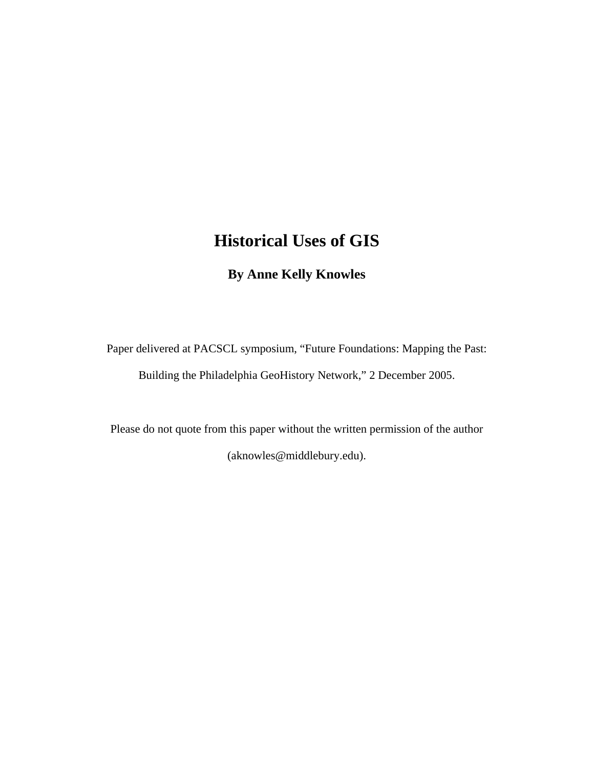# **Historical Uses of GIS**

## **By Anne Kelly Knowles**

Paper delivered at PACSCL symposium, "Future Foundations: Mapping the Past: Building the Philadelphia GeoHistory Network," 2 December 2005.

Please do not quote from this paper without the written permission of the author (aknowles@middlebury.edu).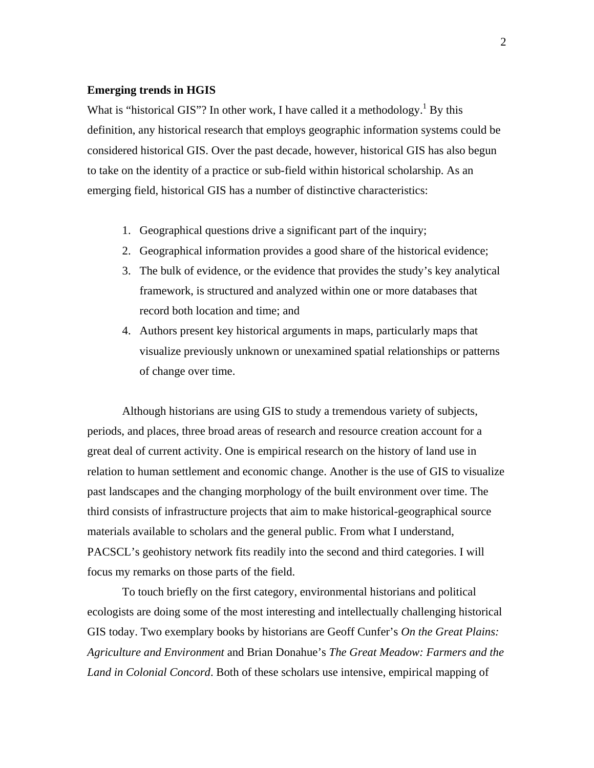#### **Emerging trends in HGIS**

What is "historical GIS"? In other work, I have called it a methodology.<sup>1</sup> By this definition, any historical research that employs geographic information systems could be considered historical GIS. Over the past decade, however, historical GIS has also begun to take on the identity of a practice or sub-field within historical scholarship. As an emerging field, historical GIS has a number of distinctive characteristics:

- 1. Geographical questions drive a significant part of the inquiry;
- 2. Geographical information provides a good share of the historical evidence;
- 3. The bulk of evidence, or the evidence that provides the study's key analytical framework, is structured and analyzed within one or more databases that record both location and time; and
- 4. Authors present key historical arguments in maps, particularly maps that visualize previously unknown or unexamined spatial relationships or patterns of change over time.

Although historians are using GIS to study a tremendous variety of subjects, periods, and places, three broad areas of research and resource creation account for a great deal of current activity. One is empirical research on the history of land use in relation to human settlement and economic change. Another is the use of GIS to visualize past landscapes and the changing morphology of the built environment over time. The third consists of infrastructure projects that aim to make historical-geographical source materials available to scholars and the general public. From what I understand, PACSCL's geohistory network fits readily into the second and third categories. I will focus my remarks on those parts of the field.

To touch briefly on the first category, environmental historians and political ecologists are doing some of the most interesting and intellectually challenging historical GIS today. Two exemplary books by historians are Geoff Cunfer's *On the Great Plains: Agriculture and Environment* and Brian Donahue's *The Great Meadow: Farmers and the Land in Colonial Concord*. Both of these scholars use intensive, empirical mapping of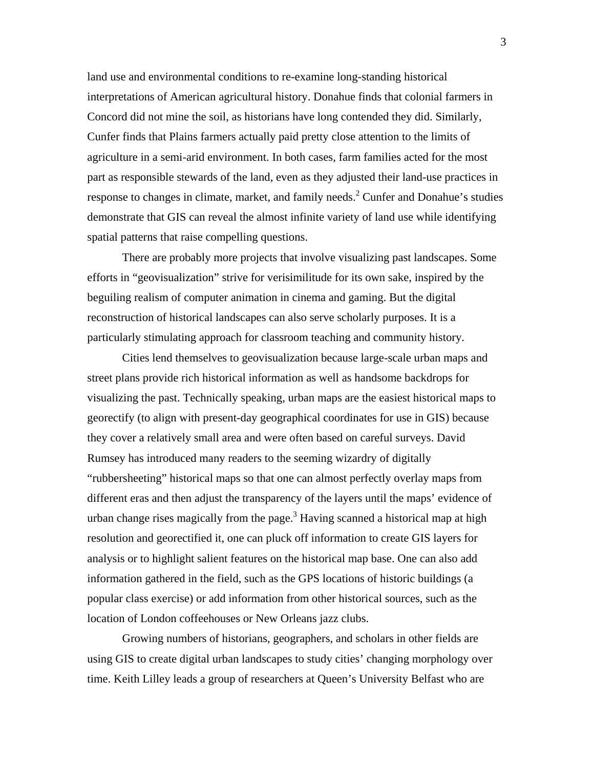land use and environmental conditions to re-examine long-standing historical interpretations of American agricultural history. Donahue finds that colonial farmers in Concord did not mine the soil, as historians have long contended they did. Similarly, Cunfer finds that Plains farmers actually paid pretty close attention to the limits of agriculture in a semi-arid environment. In both cases, farm families acted for the most part as responsible stewards of the land, even as they adjusted their land-use practices in response to changes in climate, market, and family needs. $2^2$  Cunfer and Donahue's studies demonstrate that GIS can reveal the almost infinite variety of land use while identifying spatial patterns that raise compelling questions.

 There are probably more projects that involve visualizing past landscapes. Some efforts in "geovisualization" strive for verisimilitude for its own sake, inspired by the beguiling realism of computer animation in cinema and gaming. But the digital reconstruction of historical landscapes can also serve scholarly purposes. It is a particularly stimulating approach for classroom teaching and community history.

 Cities lend themselves to geovisualization because large-scale urban maps and street plans provide rich historical information as well as handsome backdrops for visualizing the past. Technically speaking, urban maps are the easiest historical maps to georectify (to align with present-day geographical coordinates for use in GIS) because they cover a relatively small area and were often based on careful surveys. David Rumsey has introduced many readers to the seeming wizardry of digitally "rubbersheeting" historical maps so that one can almost perfectly overlay maps from different eras and then adjust the transparency of the layers until the maps' evidence of urban change rises magically from the page.<sup>3</sup> Having scanned a historical map at high resolution and georectified it, one can pluck off information to create GIS layers for analysis or to highlight salient features on the historical map base. One can also add information gathered in the field, such as the GPS locations of historic buildings (a popular class exercise) or add information from other historical sources, such as the location of London coffeehouses or New Orleans jazz clubs.

 Growing numbers of historians, geographers, and scholars in other fields are using GIS to create digital urban landscapes to study cities' changing morphology over time. Keith Lilley leads a group of researchers at Queen's University Belfast who are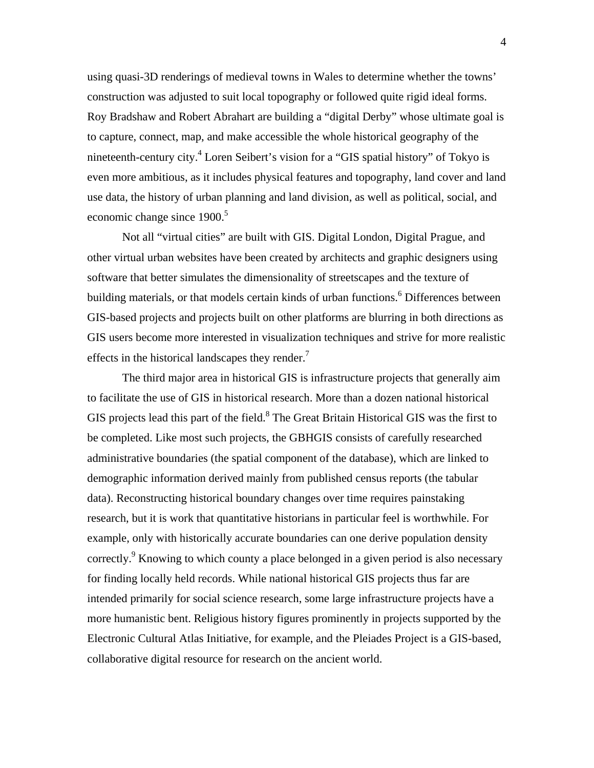using quasi-3D renderings of medieval towns in Wales to determine whether the towns' construction was adjusted to suit local topography or followed quite rigid ideal forms. Roy Bradshaw and Robert Abrahart are building a "digital Derby" whose ultimate goal is to capture, connect, map, and make accessible the whole historical geography of the nineteenth-century city.<sup>4</sup> Loren Seibert's vision for a "GIS spatial history" of Tokyo is even more ambitious, as it includes physical features and topography, land cover and land use data, the history of urban planning and land division, as well as political, social, and economic change since 1900.<sup>5</sup>

Not all "virtual cities" are built with GIS. Digital London, Digital Prague, and other virtual urban websites have been created by architects and graphic designers using software that better simulates the dimensionality of streetscapes and the texture of building materials, or that models certain kinds of urban functions. <sup>6</sup> Differences between GIS-based projects and projects built on other platforms are blurring in both directions as GIS users become more interested in visualization techniques and strive for more realistic effects in the historical landscapes they render. $<sup>7</sup>$ </sup>

 The third major area in historical GIS is infrastructure projects that generally aim to facilitate the use of GIS in historical research. More than a dozen national historical GIS projects lead this part of the field. <sup>8</sup> The Great Britain Historical GIS was the first to be completed. Like most such projects, the GBHGIS consists of carefully researched administrative boundaries (the spatial component of the database), which are linked to demographic information derived mainly from published census reports (the tabular data). Reconstructing historical boundary changes over time requires painstaking research, but it is work that quantitative historians in particular feel is worthwhile. For example, only with historically accurate boundaries can one derive population density correctly.<sup>9</sup> Knowing to which county a place belonged in a given period is also necessary for finding locally held records. While national historical GIS projects thus far are intended primarily for social science research, some large infrastructure projects have a more humanistic bent. Religious history figures prominently in projects supported by the Electronic Cultural Atlas Initiative, for example, and the Pleiades Project is a GIS-based, collaborative digital resource for research on the ancient world.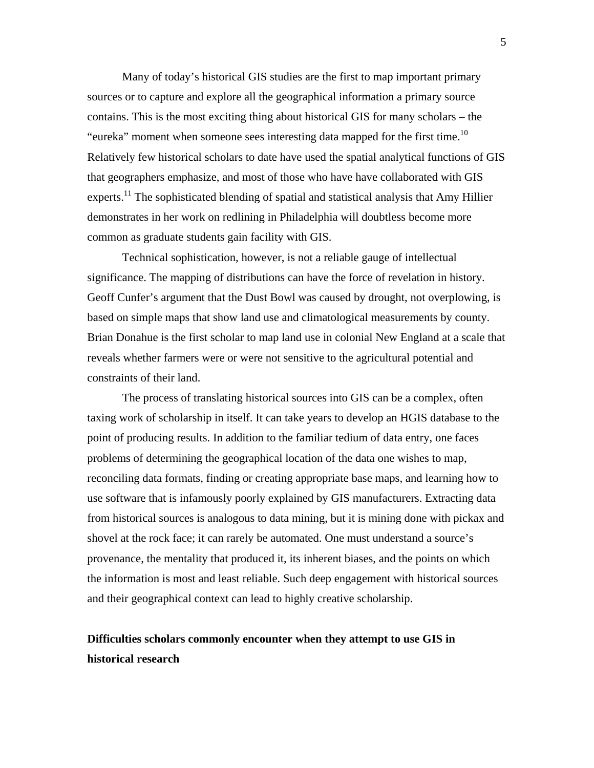Many of today's historical GIS studies are the first to map important primary sources or to capture and explore all the geographical information a primary source contains. This is the most exciting thing about historical GIS for many scholars – the "eureka" moment when someone sees interesting data mapped for the first time.<sup>10</sup> Relatively few historical scholars to date have used the spatial analytical functions of GIS that geographers emphasize, and most of those who have have collaborated with GIS experts.<sup>11</sup> The sophisticated blending of spatial and statistical analysis that Amy Hillier demonstrates in her work on redlining in Philadelphia will doubtless become more common as graduate students gain facility with GIS.

Technical sophistication, however, is not a reliable gauge of intellectual significance. The mapping of distributions can have the force of revelation in history. Geoff Cunfer's argument that the Dust Bowl was caused by drought, not overplowing, is based on simple maps that show land use and climatological measurements by county. Brian Donahue is the first scholar to map land use in colonial New England at a scale that reveals whether farmers were or were not sensitive to the agricultural potential and constraints of their land.

The process of translating historical sources into GIS can be a complex, often taxing work of scholarship in itself. It can take years to develop an HGIS database to the point of producing results. In addition to the familiar tedium of data entry, one faces problems of determining the geographical location of the data one wishes to map, reconciling data formats, finding or creating appropriate base maps, and learning how to use software that is infamously poorly explained by GIS manufacturers. Extracting data from historical sources is analogous to data mining, but it is mining done with pickax and shovel at the rock face; it can rarely be automated. One must understand a source's provenance, the mentality that produced it, its inherent biases, and the points on which the information is most and least reliable. Such deep engagement with historical sources and their geographical context can lead to highly creative scholarship.

### **Difficulties scholars commonly encounter when they attempt to use GIS in historical research**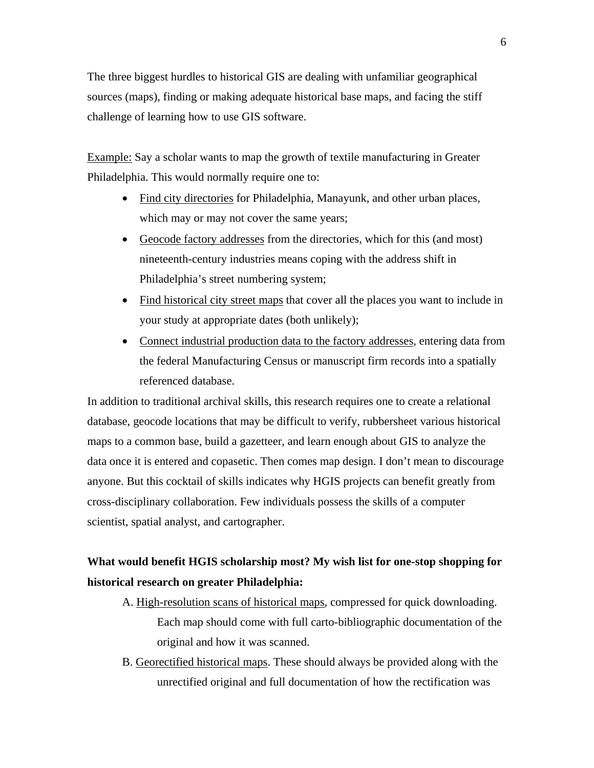The three biggest hurdles to historical GIS are dealing with unfamiliar geographical sources (maps), finding or making adequate historical base maps, and facing the stiff challenge of learning how to use GIS software.

Example: Say a scholar wants to map the growth of textile manufacturing in Greater Philadelphia. This would normally require one to:

- Find city directories for Philadelphia, Manayunk, and other urban places, which may or may not cover the same years;
- Geocode factory addresses from the directories, which for this (and most) nineteenth-century industries means coping with the address shift in Philadelphia's street numbering system;
- Find historical city street maps that cover all the places you want to include in your study at appropriate dates (both unlikely);
- Connect industrial production data to the factory addresses, entering data from the federal Manufacturing Census or manuscript firm records into a spatially referenced database.

In addition to traditional archival skills, this research requires one to create a relational database, geocode locations that may be difficult to verify, rubbersheet various historical maps to a common base, build a gazetteer, and learn enough about GIS to analyze the data once it is entered and copasetic. Then comes map design. I don't mean to discourage anyone. But this cocktail of skills indicates why HGIS projects can benefit greatly from cross-disciplinary collaboration. Few individuals possess the skills of a computer scientist, spatial analyst, and cartographer.

### **What would benefit HGIS scholarship most? My wish list for one-stop shopping for historical research on greater Philadelphia:**

- A. High-resolution scans of historical maps, compressed for quick downloading. Each map should come with full carto-bibliographic documentation of the original and how it was scanned.
- B. Georectified historical maps. These should always be provided along with the unrectified original and full documentation of how the rectification was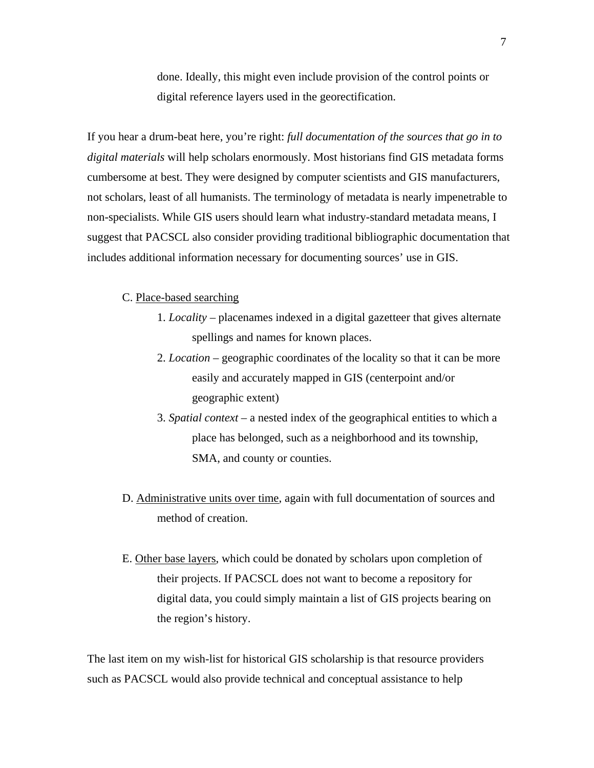done. Ideally, this might even include provision of the control points or digital reference layers used in the georectification.

If you hear a drum-beat here, you're right: *full documentation of the sources that go in to digital materials* will help scholars enormously. Most historians find GIS metadata forms cumbersome at best. They were designed by computer scientists and GIS manufacturers, not scholars, least of all humanists. The terminology of metadata is nearly impenetrable to non-specialists. While GIS users should learn what industry-standard metadata means, I suggest that PACSCL also consider providing traditional bibliographic documentation that includes additional information necessary for documenting sources' use in GIS.

#### C. Place-based searching

- 1. *Locality* placenames indexed in a digital gazetteer that gives alternate spellings and names for known places.
- 2. *Location* geographic coordinates of the locality so that it can be more easily and accurately mapped in GIS (centerpoint and/or geographic extent)
- 3. *Spatial context* a nested index of the geographical entities to which a place has belonged, such as a neighborhood and its township, SMA, and county or counties.
- D. Administrative units over time, again with full documentation of sources and method of creation.
- E. Other base layers, which could be donated by scholars upon completion of their projects. If PACSCL does not want to become a repository for digital data, you could simply maintain a list of GIS projects bearing on the region's history.

The last item on my wish-list for historical GIS scholarship is that resource providers such as PACSCL would also provide technical and conceptual assistance to help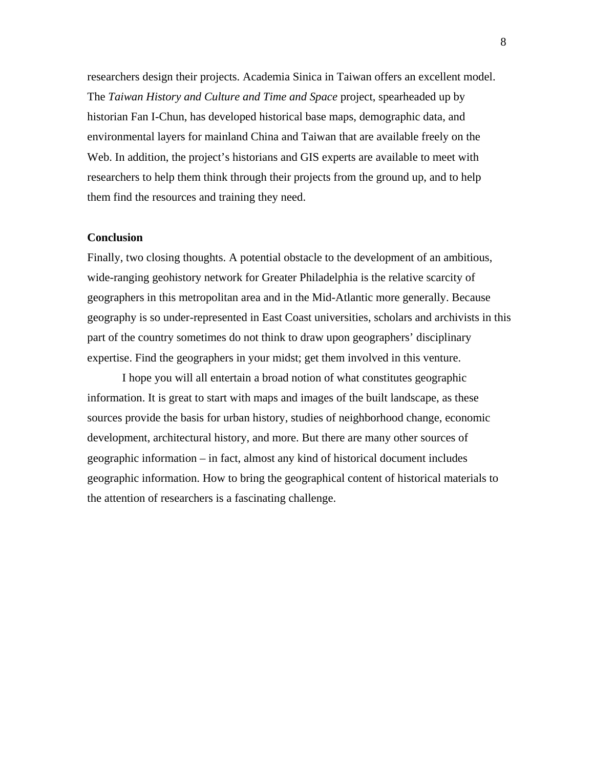researchers design their projects. Academia Sinica in Taiwan offers an excellent model. The *Taiwan History and Culture and Time and Space* project, spearheaded up by historian Fan I-Chun, has developed historical base maps, demographic data, and environmental layers for mainland China and Taiwan that are available freely on the Web. In addition, the project's historians and GIS experts are available to meet with researchers to help them think through their projects from the ground up, and to help them find the resources and training they need.

### **Conclusion**

Finally, two closing thoughts. A potential obstacle to the development of an ambitious, wide-ranging geohistory network for Greater Philadelphia is the relative scarcity of geographers in this metropolitan area and in the Mid-Atlantic more generally. Because geography is so under-represented in East Coast universities, scholars and archivists in this part of the country sometimes do not think to draw upon geographers' disciplinary expertise. Find the geographers in your midst; get them involved in this venture.

I hope you will all entertain a broad notion of what constitutes geographic information. It is great to start with maps and images of the built landscape, as these sources provide the basis for urban history, studies of neighborhood change, economic development, architectural history, and more. But there are many other sources of geographic information – in fact, almost any kind of historical document includes geographic information. How to bring the geographical content of historical materials to the attention of researchers is a fascinating challenge.